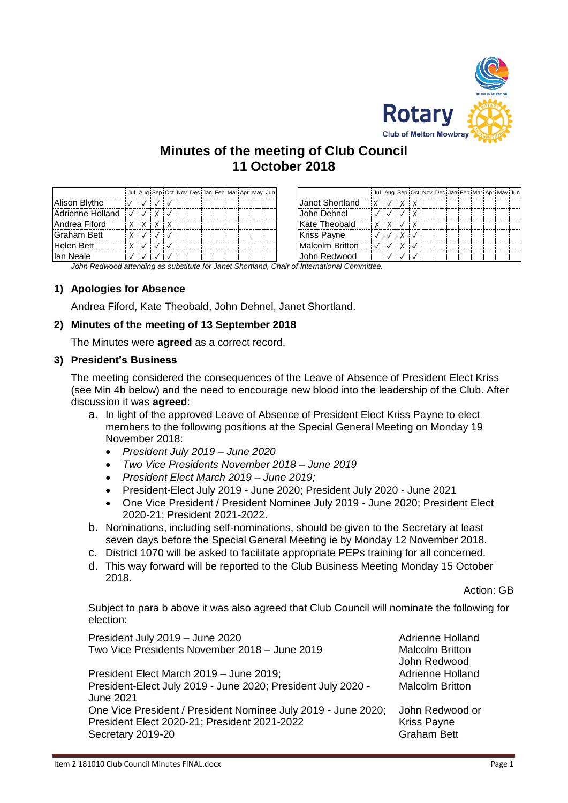

# **Minutes of the meeting of Club Council 11 October 2018**

|                    |  |              |  |  |  |  | Jul Aug Sep Oct Nov Dec Jan Feb Mar Apr May Jun |                    |   |  |  | Jul Aug Sep Oct Nov Dec Jan Feb Mar Apr May Jun |  |  |  |
|--------------------|--|--------------|--|--|--|--|-------------------------------------------------|--------------------|---|--|--|-------------------------------------------------|--|--|--|
| Alison Blythe      |  |              |  |  |  |  |                                                 | Janet Shortland    | X |  |  |                                                 |  |  |  |
| Adrienne Holland   |  | $\checkmark$ |  |  |  |  |                                                 | John Dehnel        |   |  |  |                                                 |  |  |  |
| Andrea Fiford      |  | $\checkmark$ |  |  |  |  |                                                 | Kate Theobald      |   |  |  |                                                 |  |  |  |
| <b>Graham Bett</b> |  |              |  |  |  |  |                                                 | <b>Kriss Payne</b> |   |  |  |                                                 |  |  |  |
| Helen Bett         |  |              |  |  |  |  |                                                 | Malcolm Britton    |   |  |  |                                                 |  |  |  |
| llan Neale         |  |              |  |  |  |  |                                                 | John Redwood       |   |  |  |                                                 |  |  |  |

*John Redwood attending as substitute for Janet Shortland, Chair of International Committee.*

# **1) Apologies for Absence**

Andrea Fiford, Kate Theobald, John Dehnel, Janet Shortland.

# **2) Minutes of the meeting of 13 September 2018**

The Minutes were **agreed** as a correct record.

### **3) President's Business**

The meeting considered the consequences of the Leave of Absence of President Elect Kriss (see Min 4b below) and the need to encourage new blood into the leadership of the Club. After discussion it was **agreed**:

- a. In light of the approved Leave of Absence of President Elect Kriss Payne to elect members to the following positions at the Special General Meeting on Monday 19 November 2018:
	- *President July 2019 – June 2020*
	- *Two Vice Presidents November 2018 – June 2019*
	- *President Elect March 2019 – June 2019;*
	- President-Elect July 2019 June 2020; President July 2020 June 2021
	- One Vice President / President Nominee July 2019 June 2020; President Elect 2020-21; President 2021-2022.
- b. Nominations, including self-nominations, should be given to the Secretary at least seven days before the Special General Meeting ie by Monday 12 November 2018.
- c. District 1070 will be asked to facilitate appropriate PEPs training for all concerned.
- d. This way forward will be reported to the Club Business Meeting Monday 15 October 2018.

Action: GB

Subject to para b above it was also agreed that Club Council will nominate the following for election:

| President July 2019 - June 2020<br>Two Vice Presidents November 2018 - June 2019                                                   | <b>Adrienne Holland</b><br><b>Malcolm Britton</b><br>John Redwood |  |  |  |  |
|------------------------------------------------------------------------------------------------------------------------------------|-------------------------------------------------------------------|--|--|--|--|
| President Elect March 2019 - June 2019;<br>President-Elect July 2019 - June 2020; President July 2020 -<br><b>June 2021</b>        | <b>Adrienne Holland</b><br><b>Malcolm Britton</b>                 |  |  |  |  |
| One Vice President / President Nominee July 2019 - June 2020;<br>President Elect 2020-21; President 2021-2022<br>Secretary 2019-20 | John Redwood or<br><b>Kriss Payne</b><br><b>Graham Bett</b>       |  |  |  |  |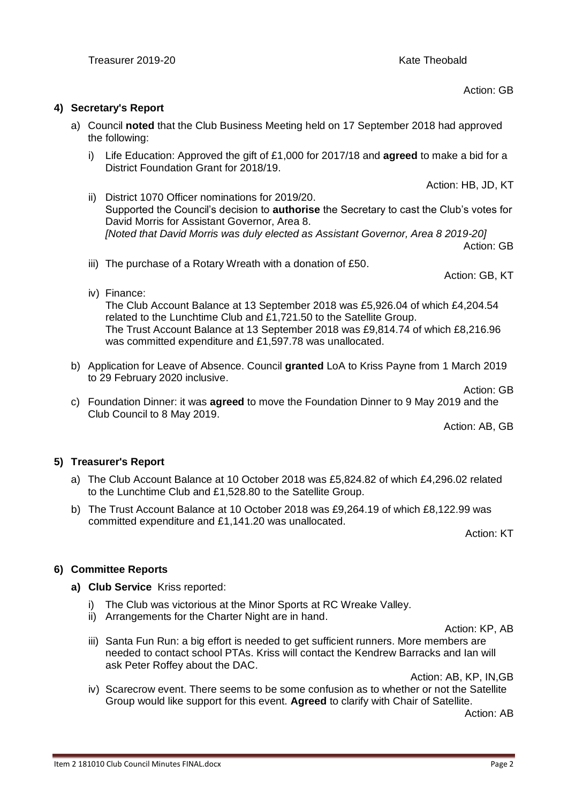Action: GB

## **4) Secretary's Report**

- a) Council **noted** that the Club Business Meeting held on 17 September 2018 had approved the following:
	- i) Life Education: Approved the gift of £1,000 for 2017/18 and **agreed** to make a bid for a District Foundation Grant for 2018/19.
	- Action: HB, JD, KT ii) District 1070 Officer nominations for 2019/20. Supported the Council's decision to **authorise** the Secretary to cast the Club's votes for David Morris for Assistant Governor, Area 8. *[Noted that David Morris was duly elected as Assistant Governor, Area 8 2019-20]* Action: GB
	- iii) The purchase of a Rotary Wreath with a donation of £50.
	- iv) Finance:

The Club Account Balance at 13 September 2018 was £5,926.04 of which £4,204.54 related to the Lunchtime Club and £1,721.50 to the Satellite Group. The Trust Account Balance at 13 September 2018 was £9,814.74 of which £8,216.96 was committed expenditure and £1,597.78 was unallocated.

- b) Application for Leave of Absence. Council **granted** LoA to Kriss Payne from 1 March 2019 to 29 February 2020 inclusive.
	- Action: GB
- c) Foundation Dinner: it was **agreed** to move the Foundation Dinner to 9 May 2019 and the Club Council to 8 May 2019.

Action: AB, GB

Action: GB, KT

# **5) Treasurer's Report**

- a) The Club Account Balance at 10 October 2018 was £5,824.82 of which £4,296.02 related to the Lunchtime Club and £1,528.80 to the Satellite Group.
- b) The Trust Account Balance at 10 October 2018 was £9,264.19 of which £8,122.99 was committed expenditure and £1,141.20 was unallocated.

Action: KT

# **6) Committee Reports**

- **a) Club Service** Kriss reported:
	- i) The Club was victorious at the Minor Sports at RC Wreake Valley.
	- ii) Arrangements for the Charter Night are in hand.

Action: KP, AB

iii) Santa Fun Run: a big effort is needed to get sufficient runners. More members are needed to contact school PTAs. Kriss will contact the Kendrew Barracks and Ian will ask Peter Roffey about the DAC.

Action: AB, KP, IN,GB

iv) Scarecrow event. There seems to be some confusion as to whether or not the Satellite Group would like support for this event. **Agreed** to clarify with Chair of Satellite.

Action: AB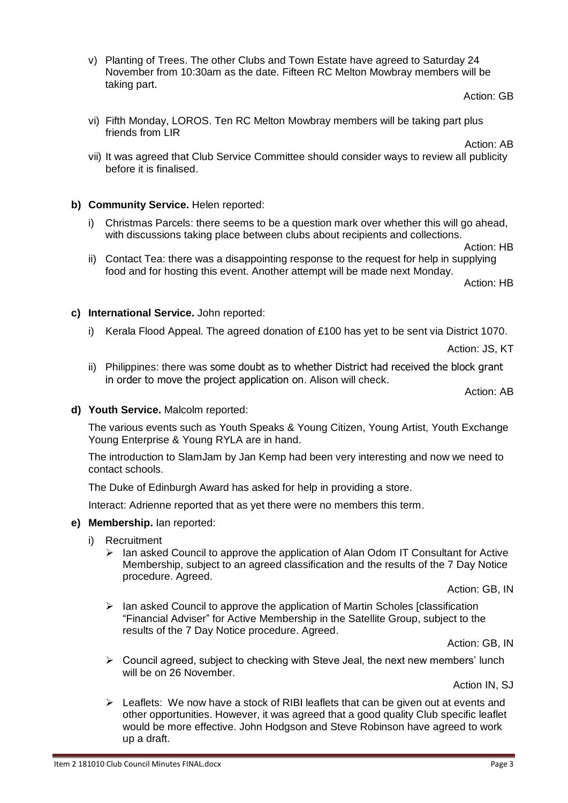v) Planting of Trees. The other Clubs and Town Estate have agreed to Saturday 24 November from 10:30am as the date. Fifteen RC Melton Mowbray members will be taking part.

Action: GB

vi) Fifth Monday, LOROS. Ten RC Melton Mowbray members will be taking part plus friends from LIR

Action: AB

vii) It was agreed that Club Service Committee should consider ways to review all publicity before it is finalised.

# **b) Community Service.** Helen reported:

i) Christmas Parcels: there seems to be a question mark over whether this will go ahead, with discussions taking place between clubs about recipients and collections.

Action: HB

ii) Contact Tea: there was a disappointing response to the request for help in supplying food and for hosting this event. Another attempt will be made next Monday.

Action: HB

# **c) International Service.** John reported:

i) Kerala Flood Appeal. The agreed donation of £100 has yet to be sent via District 1070.

Action: JS, KT

ii) Philippines: there was some doubt as to whether District had received the block grant in order to move the project application on. Alison will check.

Action: AB

#### **d) Youth Service.** Malcolm reported:

The various events such as Youth Speaks & Young Citizen, Young Artist, Youth Exchange Young Enterprise & Young RYLA are in hand.

The introduction to SlamJam by Jan Kemp had been very interesting and now we need to contact schools.

The Duke of Edinburgh Award has asked for help in providing a store.

Interact: Adrienne reported that as yet there were no members this term.

#### **e) Membership.** Ian reported:

- i) Recruitment
	- $\triangleright$  Ian asked Council to approve the application of Alan Odom IT Consultant for Active Membership, subject to an agreed classification and the results of the 7 Day Notice procedure. Agreed.

Action: GB, IN

➢ Ian asked Council to approve the application of Martin Scholes [classification "Financial Adviser" for Active Membership in the Satellite Group, subject to the results of the 7 Day Notice procedure. Agreed.

Action: GB, IN

➢ Council agreed, subject to checking with Steve Jeal, the next new members' lunch will be on 26 November.

Action IN, SJ

 $\triangleright$  Leaflets: We now have a stock of RIBI leaflets that can be given out at events and other opportunities. However, it was agreed that a good quality Club specific leaflet would be more effective. John Hodgson and Steve Robinson have agreed to work up a draft.